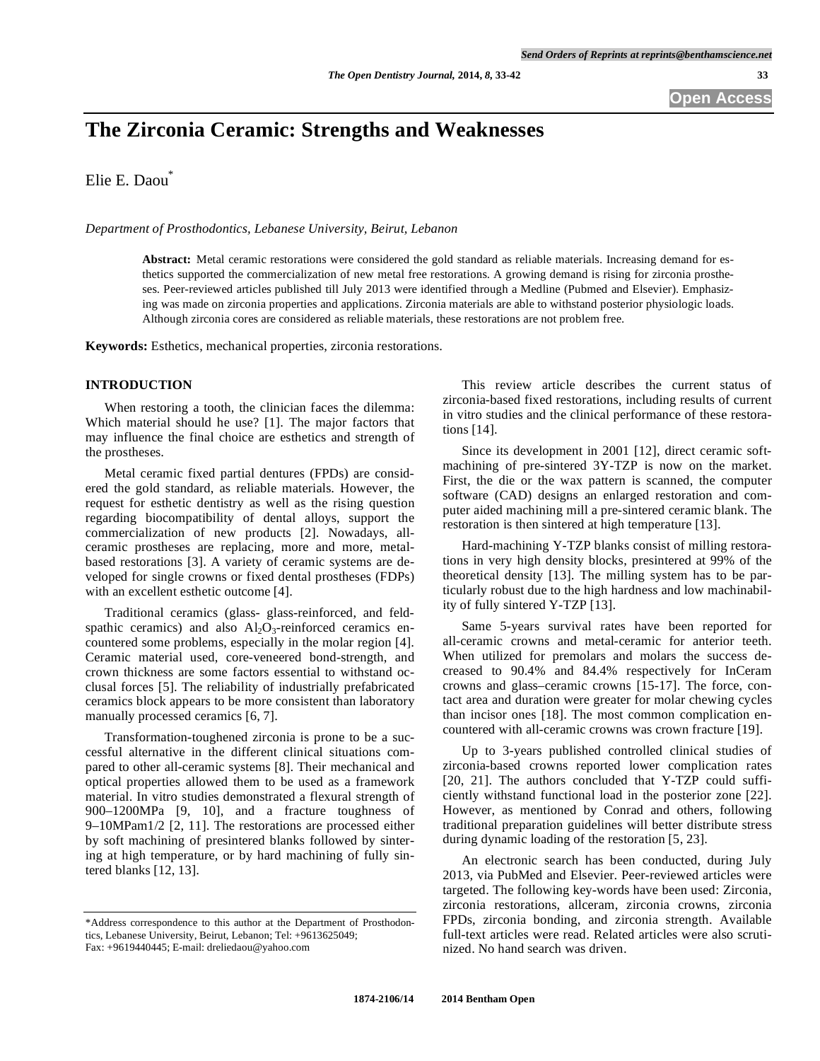**Open Access** 

# **The Zirconia Ceramic: Strengths and Weaknesses**

Elie E. Daou\*

*Department of Prosthodontics, Lebanese University, Beirut, Lebanon* 

**Abstract:** Metal ceramic restorations were considered the gold standard as reliable materials. Increasing demand for esthetics supported the commercialization of new metal free restorations. A growing demand is rising for zirconia prostheses. Peer-reviewed articles published till July 2013 were identified through a Medline (Pubmed and Elsevier). Emphasizing was made on zirconia properties and applications. Zirconia materials are able to withstand posterior physiologic loads. Although zirconia cores are considered as reliable materials, these restorations are not problem free.

**Keywords:** Esthetics, mechanical properties, zirconia restorations.

# **INTRODUCTION**

When restoring a tooth, the clinician faces the dilemma: Which material should he use? [1]. The major factors that may influence the final choice are esthetics and strength of the prostheses.

Metal ceramic fixed partial dentures (FPDs) are considered the gold standard, as reliable materials. However, the request for esthetic dentistry as well as the rising question regarding biocompatibility of dental alloys, support the commercialization of new products [2]. Nowadays, allceramic prostheses are replacing, more and more, metalbased restorations [3]. A variety of ceramic systems are developed for single crowns or fixed dental prostheses (FDPs) with an excellent esthetic outcome [4].

Traditional ceramics (glass- glass-reinforced, and feldspathic ceramics) and also  $\text{Al}_2\text{O}_3$ -reinforced ceramics encountered some problems, especially in the molar region [4]. Ceramic material used, core-veneered bond-strength, and crown thickness are some factors essential to withstand occlusal forces [5]. The reliability of industrially prefabricated ceramics block appears to be more consistent than laboratory manually processed ceramics [6, 7].

Transformation-toughened zirconia is prone to be a successful alternative in the different clinical situations compared to other all-ceramic systems [8]. Their mechanical and optical properties allowed them to be used as a framework material. In vitro studies demonstrated a flexural strength of 900–1200MPa [9, 10], and a fracture toughness of 9–10MPam1/2 [2, 11]. The restorations are processed either by soft machining of presintered blanks followed by sintering at high temperature, or by hard machining of fully sintered blanks [12, 13].

This review article describes the current status of zirconia-based fixed restorations, including results of current in vitro studies and the clinical performance of these restorations [14].

Since its development in 2001 [12], direct ceramic softmachining of pre-sintered 3Y-TZP is now on the market. First, the die or the wax pattern is scanned, the computer software (CAD) designs an enlarged restoration and computer aided machining mill a pre-sintered ceramic blank. The restoration is then sintered at high temperature [13].

Hard-machining Y-TZP blanks consist of milling restorations in very high density blocks, presintered at 99% of the theoretical density [13]. The milling system has to be particularly robust due to the high hardness and low machinability of fully sintered Y-TZP [13].

Same 5-years survival rates have been reported for all-ceramic crowns and metal-ceramic for anterior teeth. When utilized for premolars and molars the success decreased to 90.4% and 84.4% respectively for InCeram crowns and glass–ceramic crowns [15-17]. The force, contact area and duration were greater for molar chewing cycles than incisor ones [18]. The most common complication encountered with all-ceramic crowns was crown fracture [19].

Up to 3-years published controlled clinical studies of zirconia-based crowns reported lower complication rates [20, 21]. The authors concluded that Y-TZP could sufficiently withstand functional load in the posterior zone [22]. However, as mentioned by Conrad and others, following traditional preparation guidelines will better distribute stress during dynamic loading of the restoration [5, 23].

An electronic search has been conducted, during July 2013, via PubMed and Elsevier. Peer-reviewed articles were targeted. The following key-words have been used: Zirconia, zirconia restorations, allceram, zirconia crowns, zirconia FPDs, zirconia bonding, and zirconia strength. Available full-text articles were read. Related articles were also scrutinized. No hand search was driven.

<sup>\*</sup>Address correspondence to this author at the Department of Prosthodontics, Lebanese University, Beirut, Lebanon; Tel: +9613625049; Fax: +9619440445; E-mail: dreliedaou@yahoo.com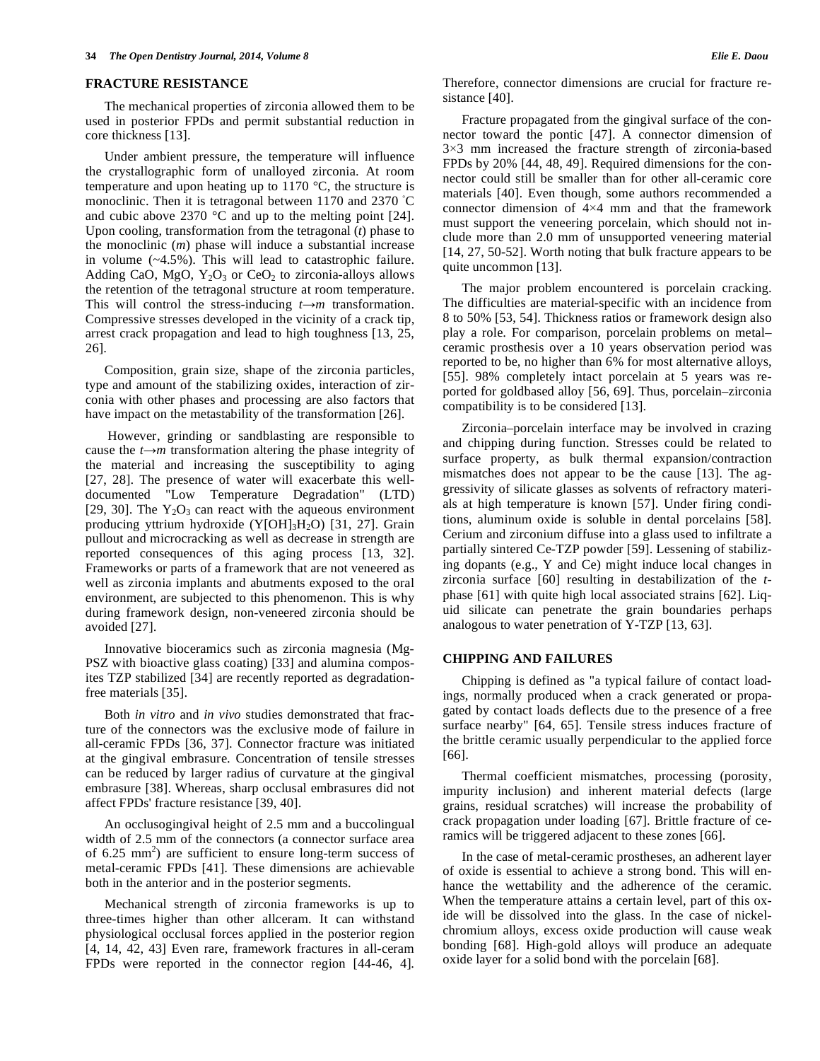#### **FRACTURE RESISTANCE**

The mechanical properties of zirconia allowed them to be used in posterior FPDs and permit substantial reduction in core thickness [13].

Under ambient pressure, the temperature will influence the crystallographic form of unalloyed zirconia. At room temperature and upon heating up to 1170 °C, the structure is monoclinic. Then it is tetragonal between 1170 and 2370 °C and cubic above 2370 °C and up to the melting point [24]. Upon cooling, transformation from the tetragonal (*t*) phase to the monoclinic (*m*) phase will induce a substantial increase in volume (~4.5%). This will lead to catastrophic failure. Adding CaO, MgO,  $Y_2O_3$  or CeO<sub>2</sub> to zirconia-alloys allows the retention of the tetragonal structure at room temperature. This will control the stress-inducing  $t \rightarrow m$  transformation. Compressive stresses developed in the vicinity of a crack tip, arrest crack propagation and lead to high toughness [13, 25, 26].

Composition, grain size, shape of the zirconia particles, type and amount of the stabilizing oxides, interaction of zirconia with other phases and processing are also factors that have impact on the metastability of the transformation [26].

 However, grinding or sandblasting are responsible to cause the  $t \rightarrow m$  transformation altering the phase integrity of the material and increasing the susceptibility to aging [27, 28]. The presence of water will exacerbate this welldocumented "Low Temperature Degradation" (LTD) [29, 30]. The  $Y_2O_3$  can react with the aqueous environment producing yttrium hydroxide  $(Y[OH]_3H_2O)$  [31, 27]. Grain pullout and microcracking as well as decrease in strength are reported consequences of this aging process [13, 32]. Frameworks or parts of a framework that are not veneered as well as zirconia implants and abutments exposed to the oral environment, are subjected to this phenomenon. This is why during framework design, non-veneered zirconia should be avoided [27].

Innovative bioceramics such as zirconia magnesia (Mg-PSZ with bioactive glass coating) [33] and alumina composites TZP stabilized [34] are recently reported as degradationfree materials [35].

Both *in vitro* and *in vivo* studies demonstrated that fracture of the connectors was the exclusive mode of failure in all-ceramic FPDs [36, 37]. Connector fracture was initiated at the gingival embrasure. Concentration of tensile stresses can be reduced by larger radius of curvature at the gingival embrasure [38]. Whereas, sharp occlusal embrasures did not affect FPDs' fracture resistance [39, 40].

An occlusogingival height of 2.5 mm and a buccolingual width of 2.5 mm of the connectors (a connector surface area of 6.25 mm<sup>2</sup>) are sufficient to ensure long-term success of metal-ceramic FPDs [41]. These dimensions are achievable both in the anterior and in the posterior segments.

Mechanical strength of zirconia frameworks is up to three-times higher than other allceram. It can withstand physiological occlusal forces applied in the posterior region [4, 14, 42, 43] Even rare, framework fractures in all-ceram FPDs were reported in the connector region [44-46, 4]. Therefore, connector dimensions are crucial for fracture resistance [40].

Fracture propagated from the gingival surface of the connector toward the pontic [47]. A connector dimension of  $3\times3$  mm increased the fracture strength of zirconia-based FPDs by 20% [44, 48, 49]. Required dimensions for the connector could still be smaller than for other all-ceramic core materials [40]. Even though, some authors recommended a connector dimension of  $4\times4$  mm and that the framework must support the veneering porcelain, which should not include more than 2.0 mm of unsupported veneering material [14, 27, 50-52]. Worth noting that bulk fracture appears to be quite uncommon [13].

The major problem encountered is porcelain cracking. The difficulties are material-specific with an incidence from 8 to 50% [53, 54]. Thickness ratios or framework design also play a role. For comparison, porcelain problems on metal– ceramic prosthesis over a 10 years observation period was reported to be, no higher than 6% for most alternative alloys, [55]. 98% completely intact porcelain at 5 years was reported for goldbased alloy [56, 69]. Thus, porcelain–zirconia compatibility is to be considered [13].

Zirconia–porcelain interface may be involved in crazing and chipping during function. Stresses could be related to surface property, as bulk thermal expansion/contraction mismatches does not appear to be the cause [13]. The aggressivity of silicate glasses as solvents of refractory materials at high temperature is known [57]. Under firing conditions, aluminum oxide is soluble in dental porcelains [58]. Cerium and zirconium diffuse into a glass used to infiltrate a partially sintered Ce-TZP powder [59]. Lessening of stabilizing dopants (e.g., Y and Ce) might induce local changes in zirconia surface [60] resulting in destabilization of the *t*phase [61] with quite high local associated strains [62]. Liquid silicate can penetrate the grain boundaries perhaps analogous to water penetration of Y-TZP [13, 63].

## **CHIPPING AND FAILURES**

Chipping is defined as "a typical failure of contact loadings, normally produced when a crack generated or propagated by contact loads deflects due to the presence of a free surface nearby" [64, 65]. Tensile stress induces fracture of the brittle ceramic usually perpendicular to the applied force [66].

Thermal coefficient mismatches, processing (porosity, impurity inclusion) and inherent material defects (large grains, residual scratches) will increase the probability of crack propagation under loading [67]. Brittle fracture of ceramics will be triggered adjacent to these zones [66].

In the case of metal-ceramic prostheses, an adherent layer of oxide is essential to achieve a strong bond. This will enhance the wettability and the adherence of the ceramic. When the temperature attains a certain level, part of this oxide will be dissolved into the glass. In the case of nickelchromium alloys, excess oxide production will cause weak bonding [68]. High-gold alloys will produce an adequate oxide layer for a solid bond with the porcelain [68].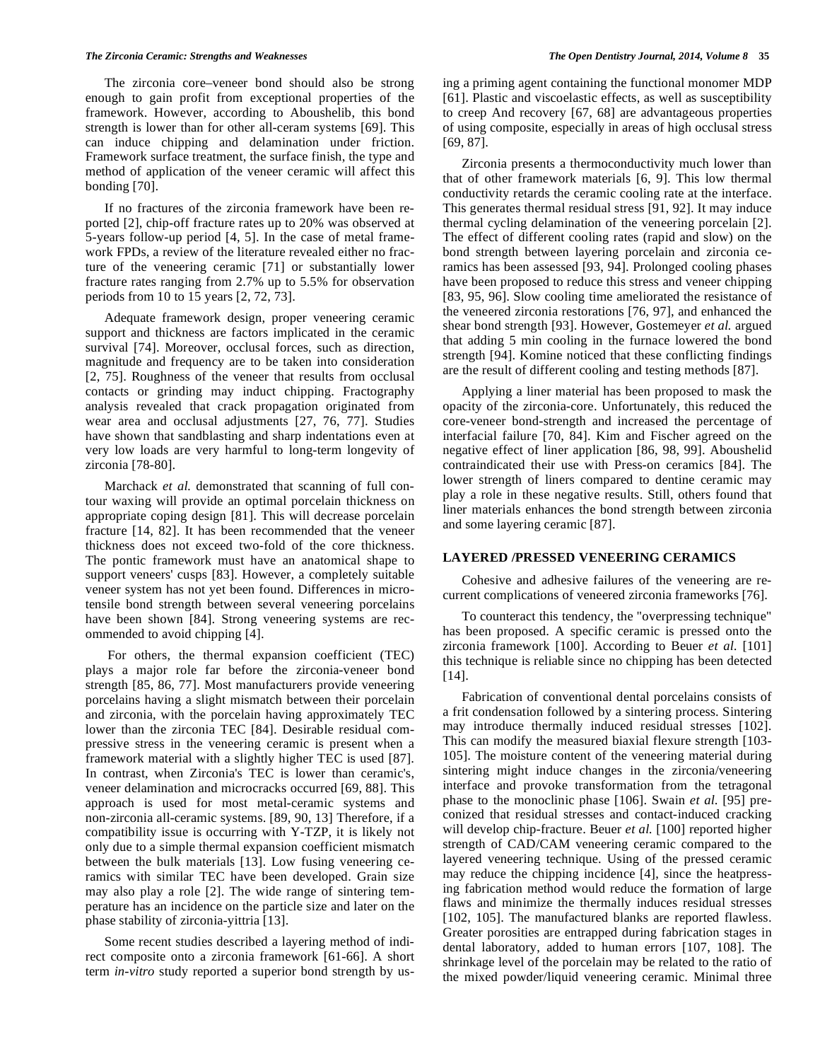#### *The Zirconia Ceramic: Strengths and Weaknesses The Open Dentistry Journal, 2014, Volume 8* **35**

The zirconia core–veneer bond should also be strong enough to gain profit from exceptional properties of the framework. However, according to Aboushelib, this bond strength is lower than for other all-ceram systems [69]. This can induce chipping and delamination under friction. Framework surface treatment, the surface finish, the type and method of application of the veneer ceramic will affect this bonding [70].

If no fractures of the zirconia framework have been reported [2], chip-off fracture rates up to 20% was observed at 5-years follow-up period [4, 5]. In the case of metal framework FPDs, a review of the literature revealed either no fracture of the veneering ceramic [71] or substantially lower fracture rates ranging from 2.7% up to 5.5% for observation periods from 10 to 15 years [2, 72, 73].

Adequate framework design, proper veneering ceramic support and thickness are factors implicated in the ceramic survival [74]. Moreover, occlusal forces, such as direction, magnitude and frequency are to be taken into consideration [2, 75]. Roughness of the veneer that results from occlusal contacts or grinding may induct chipping. Fractography analysis revealed that crack propagation originated from wear area and occlusal adjustments [27, 76, 77]. Studies have shown that sandblasting and sharp indentations even at very low loads are very harmful to long-term longevity of zirconia [78-80].

Marchack *et al.* demonstrated that scanning of full contour waxing will provide an optimal porcelain thickness on appropriate coping design [81]. This will decrease porcelain fracture [14, 82]. It has been recommended that the veneer thickness does not exceed two-fold of the core thickness. The pontic framework must have an anatomical shape to support veneers' cusps [83]. However, a completely suitable veneer system has not yet been found. Differences in microtensile bond strength between several veneering porcelains have been shown [84]. Strong veneering systems are recommended to avoid chipping [4].

 For others, the thermal expansion coefficient (TEC) plays a major role far before the zirconia-veneer bond strength [85, 86, 77]. Most manufacturers provide veneering porcelains having a slight mismatch between their porcelain and zirconia, with the porcelain having approximately TEC lower than the zirconia TEC [84]. Desirable residual compressive stress in the veneering ceramic is present when a framework material with a slightly higher TEC is used [87]. In contrast, when Zirconia's TEC is lower than ceramic's, veneer delamination and microcracks occurred [69, 88]. This approach is used for most metal-ceramic systems and non-zirconia all-ceramic systems. [89, 90, 13] Therefore, if a compatibility issue is occurring with Y-TZP, it is likely not only due to a simple thermal expansion coefficient mismatch between the bulk materials [13]. Low fusing veneering ceramics with similar TEC have been developed. Grain size may also play a role [2]. The wide range of sintering temperature has an incidence on the particle size and later on the phase stability of zirconia-yittria [13].

Some recent studies described a layering method of indirect composite onto a zirconia framework [61-66]. A short term *in-vitro* study reported a superior bond strength by using a priming agent containing the functional monomer MDP [61]. Plastic and viscoelastic effects, as well as susceptibility to creep And recovery [67, 68] are advantageous properties of using composite, especially in areas of high occlusal stress [69, 87].

Zirconia presents a thermoconductivity much lower than that of other framework materials [6, 9]. This low thermal conductivity retards the ceramic cooling rate at the interface. This generates thermal residual stress [91, 92]. It may induce thermal cycling delamination of the veneering porcelain [2]. The effect of different cooling rates (rapid and slow) on the bond strength between layering porcelain and zirconia ceramics has been assessed [93, 94]. Prolonged cooling phases have been proposed to reduce this stress and veneer chipping [83, 95, 96]. Slow cooling time ameliorated the resistance of the veneered zirconia restorations [76, 97], and enhanced the shear bond strength [93]. However, Gostemeyer *et al.* argued that adding 5 min cooling in the furnace lowered the bond strength [94]. Komine noticed that these conflicting findings are the result of different cooling and testing methods [87].

Applying a liner material has been proposed to mask the opacity of the zirconia-core. Unfortunately, this reduced the core-veneer bond-strength and increased the percentage of interfacial failure [70, 84]. Kim and Fischer agreed on the negative effect of liner application [86, 98, 99]. Aboushelid contraindicated their use with Press-on ceramics [84]. The lower strength of liners compared to dentine ceramic may play a role in these negative results. Still, others found that liner materials enhances the bond strength between zirconia and some layering ceramic [87].

## **LAYERED /PRESSED VENEERING CERAMICS**

Cohesive and adhesive failures of the veneering are recurrent complications of veneered zirconia frameworks [76].

To counteract this tendency, the "overpressing technique" has been proposed. A specific ceramic is pressed onto the zirconia framework [100]. According to Beuer *et al.* [101] this technique is reliable since no chipping has been detected [14].

Fabrication of conventional dental porcelains consists of a frit condensation followed by a sintering process. Sintering may introduce thermally induced residual stresses [102]. This can modify the measured biaxial flexure strength [103- 105]. The moisture content of the veneering material during sintering might induce changes in the zirconia/veneering interface and provoke transformation from the tetragonal phase to the monoclinic phase [106]. Swain *et al*. [95] preconized that residual stresses and contact-induced cracking will develop chip-fracture. Beuer *et al.* [100] reported higher strength of CAD/CAM veneering ceramic compared to the layered veneering technique. Using of the pressed ceramic may reduce the chipping incidence [4], since the heatpressing fabrication method would reduce the formation of large flaws and minimize the thermally induces residual stresses [102, 105]. The manufactured blanks are reported flawless. Greater porosities are entrapped during fabrication stages in dental laboratory, added to human errors [107, 108]. The shrinkage level of the porcelain may be related to the ratio of the mixed powder/liquid veneering ceramic. Minimal three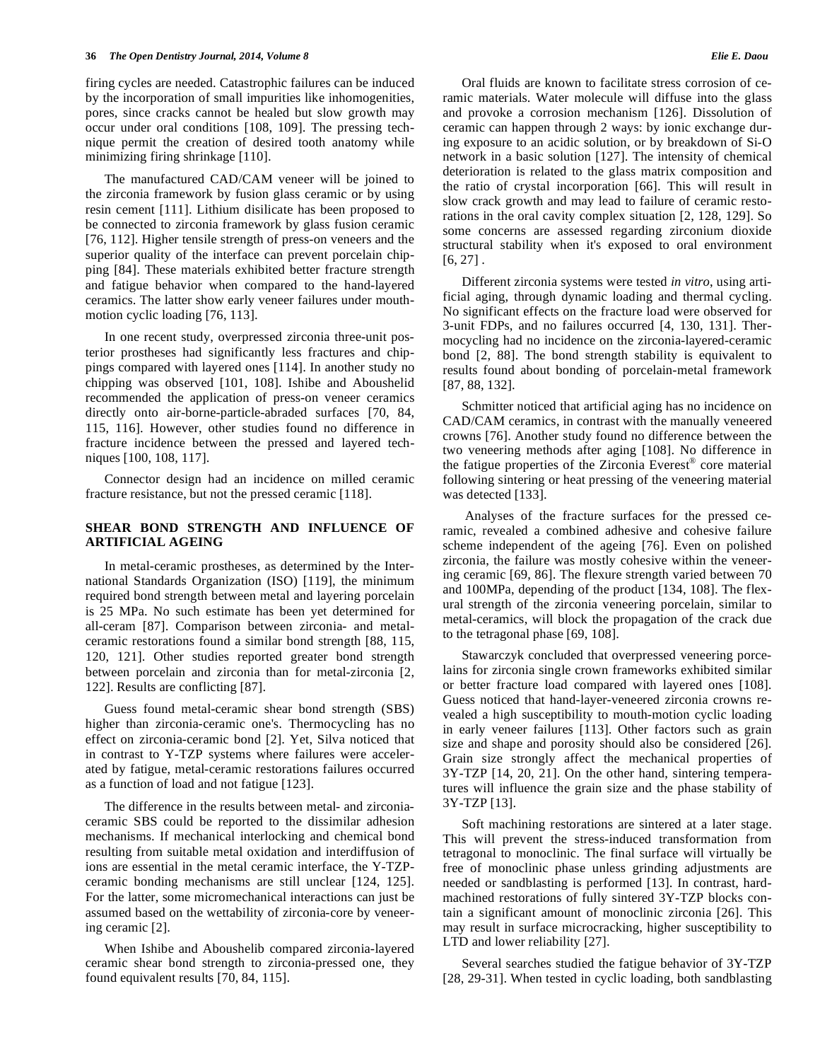firing cycles are needed. Catastrophic failures can be induced by the incorporation of small impurities like inhomogenities, pores, since cracks cannot be healed but slow growth may occur under oral conditions [108, 109]. The pressing technique permit the creation of desired tooth anatomy while minimizing firing shrinkage [110].

The manufactured CAD/CAM veneer will be joined to the zirconia framework by fusion glass ceramic or by using resin cement [111]. Lithium disilicate has been proposed to be connected to zirconia framework by glass fusion ceramic [76, 112]. Higher tensile strength of press-on veneers and the superior quality of the interface can prevent porcelain chipping [84]. These materials exhibited better fracture strength and fatigue behavior when compared to the hand-layered ceramics. The latter show early veneer failures under mouthmotion cyclic loading [76, 113].

In one recent study, overpressed zirconia three-unit posterior prostheses had significantly less fractures and chippings compared with layered ones [114]. In another study no chipping was observed [101, 108]. Ishibe and Aboushelid recommended the application of press-on veneer ceramics directly onto air-borne-particle-abraded surfaces [70, 84, 115, 116]. However, other studies found no difference in fracture incidence between the pressed and layered techniques [100, 108, 117].

Connector design had an incidence on milled ceramic fracture resistance, but not the pressed ceramic [118].

# **SHEAR BOND STRENGTH AND INFLUENCE OF ARTIFICIAL AGEING**

In metal-ceramic prostheses, as determined by the International Standards Organization (ISO) [119], the minimum required bond strength between metal and layering porcelain is 25 MPa. No such estimate has been yet determined for all-ceram [87]. Comparison between zirconia- and metalceramic restorations found a similar bond strength [88, 115, 120, 121]. Other studies reported greater bond strength between porcelain and zirconia than for metal-zirconia [2, 122]. Results are conflicting [87].

Guess found metal-ceramic shear bond strength (SBS) higher than zirconia-ceramic one's. Thermocycling has no effect on zirconia-ceramic bond [2]. Yet, Silva noticed that in contrast to Y-TZP systems where failures were accelerated by fatigue, metal-ceramic restorations failures occurred as a function of load and not fatigue [123].

The difference in the results between metal- and zirconiaceramic SBS could be reported to the dissimilar adhesion mechanisms. If mechanical interlocking and chemical bond resulting from suitable metal oxidation and interdiffusion of ions are essential in the metal ceramic interface, the Y-TZPceramic bonding mechanisms are still unclear [124, 125]. For the latter, some micromechanical interactions can just be assumed based on the wettability of zirconia-core by veneering ceramic [2].

When Ishibe and Aboushelib compared zirconia-layered ceramic shear bond strength to zirconia-pressed one, they found equivalent results [70, 84, 115].

Oral fluids are known to facilitate stress corrosion of ceramic materials. Water molecule will diffuse into the glass and provoke a corrosion mechanism [126]. Dissolution of ceramic can happen through 2 ways: by ionic exchange during exposure to an acidic solution, or by breakdown of Si-O network in a basic solution [127]. The intensity of chemical deterioration is related to the glass matrix composition and the ratio of crystal incorporation [66]. This will result in slow crack growth and may lead to failure of ceramic restorations in the oral cavity complex situation [2, 128, 129]. So some concerns are assessed regarding zirconium dioxide structural stability when it's exposed to oral environment  $[6, 27]$ .

Different zirconia systems were tested *in vitro*, using artificial aging, through dynamic loading and thermal cycling. No significant effects on the fracture load were observed for 3-unit FDPs, and no failures occurred [4, 130, 131]. Thermocycling had no incidence on the zirconia-layered-ceramic bond [2, 88]. The bond strength stability is equivalent to results found about bonding of porcelain-metal framework [87, 88, 132].

Schmitter noticed that artificial aging has no incidence on CAD/CAM ceramics, in contrast with the manually veneered crowns [76]. Another study found no difference between the two veneering methods after aging [108]. No difference in the fatigue properties of the Zirconia Everest® core material following sintering or heat pressing of the veneering material was detected [133].

 Analyses of the fracture surfaces for the pressed ceramic, revealed a combined adhesive and cohesive failure scheme independent of the ageing [76]. Even on polished zirconia, the failure was mostly cohesive within the veneering ceramic [69, 86]. The flexure strength varied between 70 and 100MPa, depending of the product [134, 108]. The flexural strength of the zirconia veneering porcelain, similar to metal-ceramics, will block the propagation of the crack due to the tetragonal phase [69, 108].

Stawarczyk concluded that overpressed veneering porcelains for zirconia single crown frameworks exhibited similar or better fracture load compared with layered ones [108]. Guess noticed that hand-layer-veneered zirconia crowns revealed a high susceptibility to mouth-motion cyclic loading in early veneer failures [113]. Other factors such as grain size and shape and porosity should also be considered [26]. Grain size strongly affect the mechanical properties of 3Y-TZP [14, 20, 21]. On the other hand, sintering temperatures will influence the grain size and the phase stability of 3Y-TZP [13].

Soft machining restorations are sintered at a later stage. This will prevent the stress-induced transformation from tetragonal to monoclinic. The final surface will virtually be free of monoclinic phase unless grinding adjustments are needed or sandblasting is performed [13]. In contrast, hardmachined restorations of fully sintered 3Y-TZP blocks contain a significant amount of monoclinic zirconia [26]. This may result in surface microcracking, higher susceptibility to LTD and lower reliability [27].

Several searches studied the fatigue behavior of 3Y-TZP [28, 29-31]. When tested in cyclic loading, both sandblasting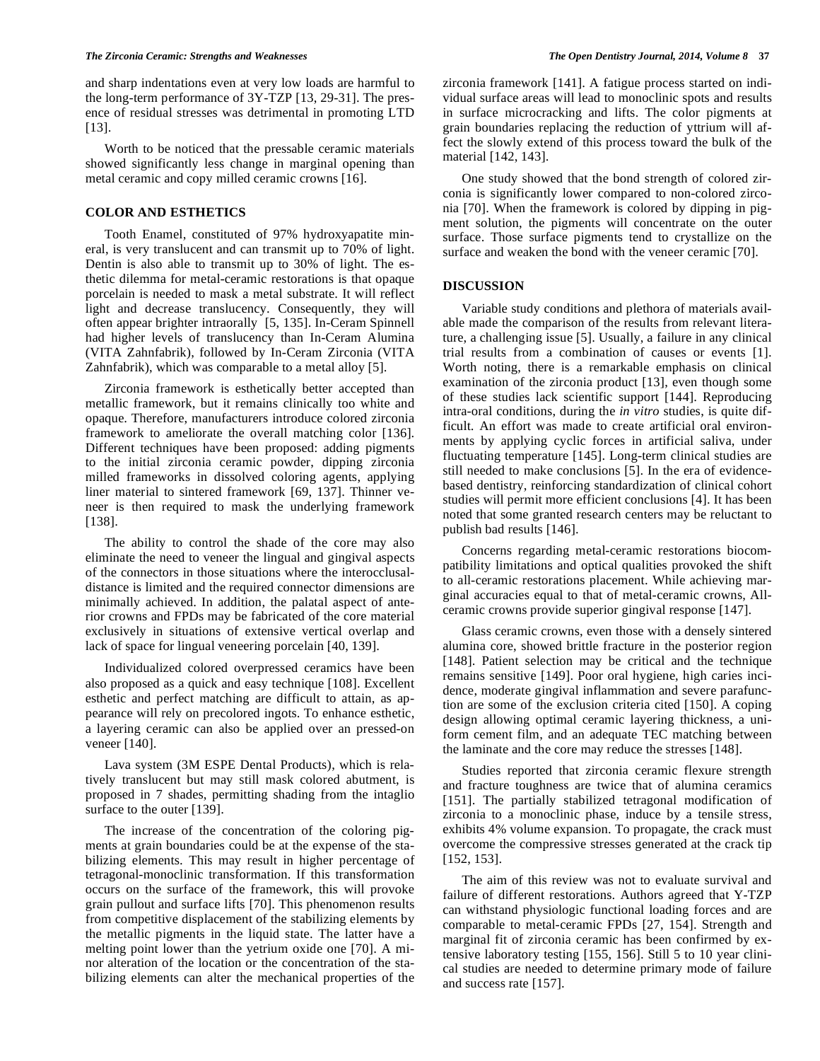and sharp indentations even at very low loads are harmful to the long-term performance of 3Y-TZP [13, 29-31]. The presence of residual stresses was detrimental in promoting LTD [13].

Worth to be noticed that the pressable ceramic materials showed significantly less change in marginal opening than metal ceramic and copy milled ceramic crowns [16].

# **COLOR AND ESTHETICS**

Tooth Enamel, constituted of 97% hydroxyapatite mineral, is very translucent and can transmit up to 70% of light. Dentin is also able to transmit up to 30% of light. The esthetic dilemma for metal-ceramic restorations is that opaque porcelain is needed to mask a metal substrate. It will reflect light and decrease translucency. Consequently, they will often appear brighter intraorally [5, 135]. In-Ceram Spinnell had higher levels of translucency than In-Ceram Alumina (VITA Zahnfabrik), followed by In-Ceram Zirconia (VITA Zahnfabrik), which was comparable to a metal alloy [5].

Zirconia framework is esthetically better accepted than metallic framework, but it remains clinically too white and opaque. Therefore, manufacturers introduce colored zirconia framework to ameliorate the overall matching color [136]. Different techniques have been proposed: adding pigments to the initial zirconia ceramic powder, dipping zirconia milled frameworks in dissolved coloring agents, applying liner material to sintered framework [69, 137]. Thinner veneer is then required to mask the underlying framework [138].

The ability to control the shade of the core may also eliminate the need to veneer the lingual and gingival aspects of the connectors in those situations where the interocclusaldistance is limited and the required connector dimensions are minimally achieved. In addition, the palatal aspect of anterior crowns and FPDs may be fabricated of the core material exclusively in situations of extensive vertical overlap and lack of space for lingual veneering porcelain [40, 139].

Individualized colored overpressed ceramics have been also proposed as a quick and easy technique [108]. Excellent esthetic and perfect matching are difficult to attain, as appearance will rely on precolored ingots. To enhance esthetic, a layering ceramic can also be applied over an pressed-on veneer [140].

Lava system (3M ESPE Dental Products), which is relatively translucent but may still mask colored abutment, is proposed in 7 shades, permitting shading from the intaglio surface to the outer [139].

The increase of the concentration of the coloring pigments at grain boundaries could be at the expense of the stabilizing elements. This may result in higher percentage of tetragonal-monoclinic transformation. If this transformation occurs on the surface of the framework, this will provoke grain pullout and surface lifts [70]. This phenomenon results from competitive displacement of the stabilizing elements by the metallic pigments in the liquid state. The latter have a melting point lower than the yetrium oxide one [70]. A minor alteration of the location or the concentration of the stabilizing elements can alter the mechanical properties of the

zirconia framework [141]. A fatigue process started on individual surface areas will lead to monoclinic spots and results in surface microcracking and lifts. The color pigments at grain boundaries replacing the reduction of yttrium will affect the slowly extend of this process toward the bulk of the material [142, 143].

One study showed that the bond strength of colored zirconia is significantly lower compared to non-colored zirconia [70]. When the framework is colored by dipping in pigment solution, the pigments will concentrate on the outer surface. Those surface pigments tend to crystallize on the surface and weaken the bond with the veneer ceramic [70].

#### **DISCUSSION**

Variable study conditions and plethora of materials available made the comparison of the results from relevant literature, a challenging issue [5]. Usually, a failure in any clinical trial results from a combination of causes or events [1]. Worth noting, there is a remarkable emphasis on clinical examination of the zirconia product [13], even though some of these studies lack scientific support [144]. Reproducing intra-oral conditions, during the *in vitro* studies, is quite difficult. An effort was made to create artificial oral environments by applying cyclic forces in artificial saliva, under fluctuating temperature [145]. Long-term clinical studies are still needed to make conclusions [5]. In the era of evidencebased dentistry, reinforcing standardization of clinical cohort studies will permit more efficient conclusions [4]. It has been noted that some granted research centers may be reluctant to publish bad results [146].

Concerns regarding metal-ceramic restorations biocompatibility limitations and optical qualities provoked the shift to all-ceramic restorations placement. While achieving marginal accuracies equal to that of metal-ceramic crowns, Allceramic crowns provide superior gingival response [147].

Glass ceramic crowns, even those with a densely sintered alumina core, showed brittle fracture in the posterior region [148]. Patient selection may be critical and the technique remains sensitive [149]. Poor oral hygiene, high caries incidence, moderate gingival inflammation and severe parafunction are some of the exclusion criteria cited [150]. A coping design allowing optimal ceramic layering thickness, a uniform cement film, and an adequate TEC matching between the laminate and the core may reduce the stresses [148].

Studies reported that zirconia ceramic flexure strength and fracture toughness are twice that of alumina ceramics [151]. The partially stabilized tetragonal modification of zirconia to a monoclinic phase, induce by a tensile stress, exhibits 4% volume expansion. To propagate, the crack must overcome the compressive stresses generated at the crack tip [152, 153].

The aim of this review was not to evaluate survival and failure of different restorations. Authors agreed that Y-TZP can withstand physiologic functional loading forces and are comparable to metal-ceramic FPDs [27, 154]. Strength and marginal fit of zirconia ceramic has been confirmed by extensive laboratory testing [155, 156]. Still 5 to 10 year clinical studies are needed to determine primary mode of failure and success rate [157].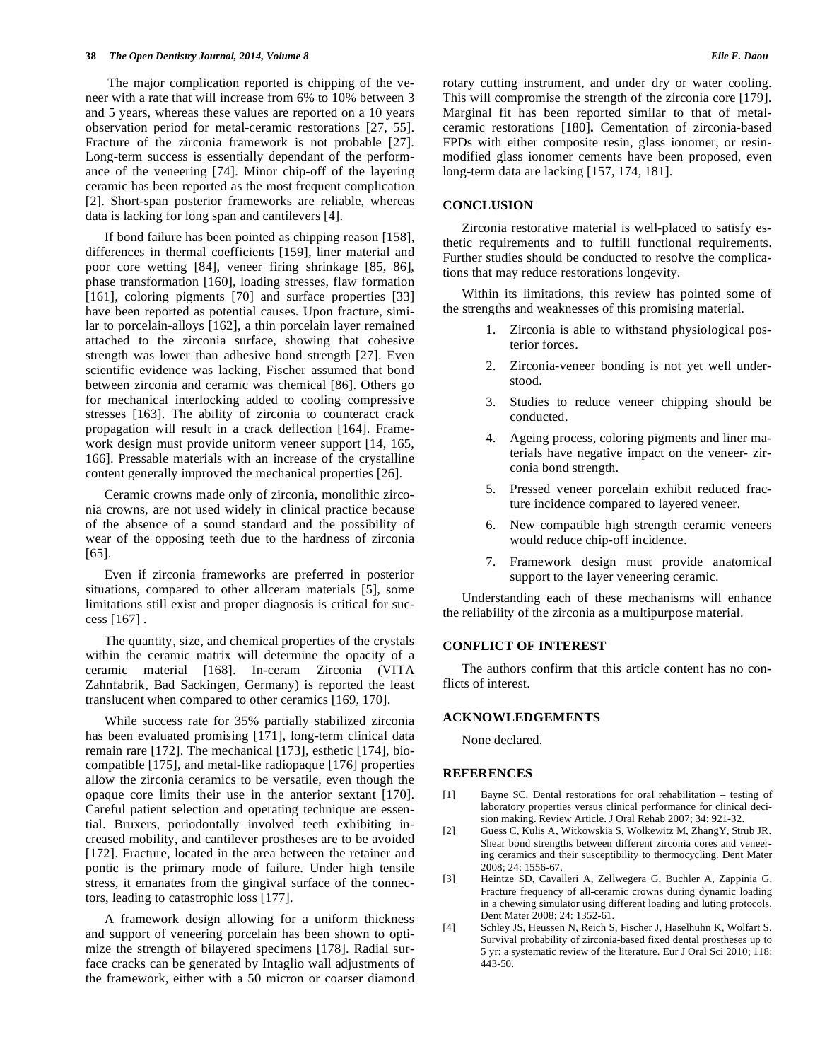The major complication reported is chipping of the veneer with a rate that will increase from 6% to 10% between 3 and 5 years, whereas these values are reported on a 10 years observation period for metal-ceramic restorations [27, 55]. Fracture of the zirconia framework is not probable [27]. Long-term success is essentially dependant of the performance of the veneering [74]. Minor chip-off of the layering ceramic has been reported as the most frequent complication [2]. Short-span posterior frameworks are reliable, whereas data is lacking for long span and cantilevers [4].

If bond failure has been pointed as chipping reason [158], differences in thermal coefficients [159], liner material and poor core wetting [84], veneer firing shrinkage [85, 86], phase transformation [160], loading stresses, flaw formation [161], coloring pigments [70] and surface properties [33] have been reported as potential causes. Upon fracture, similar to porcelain-alloys [162], a thin porcelain layer remained attached to the zirconia surface, showing that cohesive strength was lower than adhesive bond strength [27]. Even scientific evidence was lacking, Fischer assumed that bond between zirconia and ceramic was chemical [86]. Others go for mechanical interlocking added to cooling compressive stresses [163]. The ability of zirconia to counteract crack propagation will result in a crack deflection [164]. Framework design must provide uniform veneer support [14, 165, 166]. Pressable materials with an increase of the crystalline content generally improved the mechanical properties [26].

Ceramic crowns made only of zirconia, monolithic zirconia crowns, are not used widely in clinical practice because of the absence of a sound standard and the possibility of wear of the opposing teeth due to the hardness of zirconia [65].

Even if zirconia frameworks are preferred in posterior situations, compared to other allceram materials [5], some limitations still exist and proper diagnosis is critical for success [167] .

The quantity, size, and chemical properties of the crystals within the ceramic matrix will determine the opacity of a ceramic material [168]. In-ceram Zirconia (VITA Zahnfabrik, Bad Sackingen, Germany) is reported the least translucent when compared to other ceramics [169, 170].

While success rate for 35% partially stabilized zirconia has been evaluated promising [171], long-term clinical data remain rare [172]. The mechanical [173], esthetic [174], biocompatible [175], and metal-like radiopaque [176] properties allow the zirconia ceramics to be versatile, even though the opaque core limits their use in the anterior sextant [170]. Careful patient selection and operating technique are essential. Bruxers, periodontally involved teeth exhibiting increased mobility, and cantilever prostheses are to be avoided [172]. Fracture, located in the area between the retainer and pontic is the primary mode of failure. Under high tensile stress, it emanates from the gingival surface of the connectors, leading to catastrophic loss [177].

A framework design allowing for a uniform thickness and support of veneering porcelain has been shown to optimize the strength of bilayered specimens [178]. Radial surface cracks can be generated by Intaglio wall adjustments of the framework, either with a 50 micron or coarser diamond rotary cutting instrument, and under dry or water cooling. This will compromise the strength of the zirconia core [179]. Marginal fit has been reported similar to that of metalceramic restorations [180]**.** Cementation of zirconia-based FPDs with either composite resin, glass ionomer, or resinmodified glass ionomer cements have been proposed, even long-term data are lacking [157, 174, 181].

## **CONCLUSION**

Zirconia restorative material is well-placed to satisfy esthetic requirements and to fulfill functional requirements. Further studies should be conducted to resolve the complications that may reduce restorations longevity.

Within its limitations, this review has pointed some of the strengths and weaknesses of this promising material.

- 1. Zirconia is able to withstand physiological posterior forces.
- 2. Zirconia-veneer bonding is not yet well understood.
- 3. Studies to reduce veneer chipping should be conducted.
- 4. Ageing process, coloring pigments and liner materials have negative impact on the veneer- zirconia bond strength.
- 5. Pressed veneer porcelain exhibit reduced fracture incidence compared to layered veneer.
- 6. New compatible high strength ceramic veneers would reduce chip-off incidence.
- 7. Framework design must provide anatomical support to the layer veneering ceramic.

Understanding each of these mechanisms will enhance the reliability of the zirconia as a multipurpose material.

# **CONFLICT OF INTEREST**

The authors confirm that this article content has no conflicts of interest.

#### **ACKNOWLEDGEMENTS**

None declared.

# **REFERENCES**

- [1] Bayne SC. Dental restorations for oral rehabilitation testing of laboratory properties versus clinical performance for clinical decision making. Review Article. J Oral Rehab 2007; 34: 921-32.
- [2] Guess C, Kulis A, Witkowskia S, Wolkewitz M, ZhangY, Strub JR. Shear bond strengths between different zirconia cores and veneering ceramics and their susceptibility to thermocycling. Dent Mater 2008; 24: 1556-67.
- [3] Heintze SD, Cavalleri A, Zellwegera G, Buchler A, Zappinia G. Fracture frequency of all-ceramic crowns during dynamic loading in a chewing simulator using different loading and luting protocols. Dent Mater 2008; 24: 1352-61.
- [4] Schley JS, Heussen N, Reich S, Fischer J, Haselhuhn K, Wolfart S. Survival probability of zirconia-based fixed dental prostheses up to 5 yr: a systematic review of the literature. Eur J Oral Sci 2010; 118: 443-50.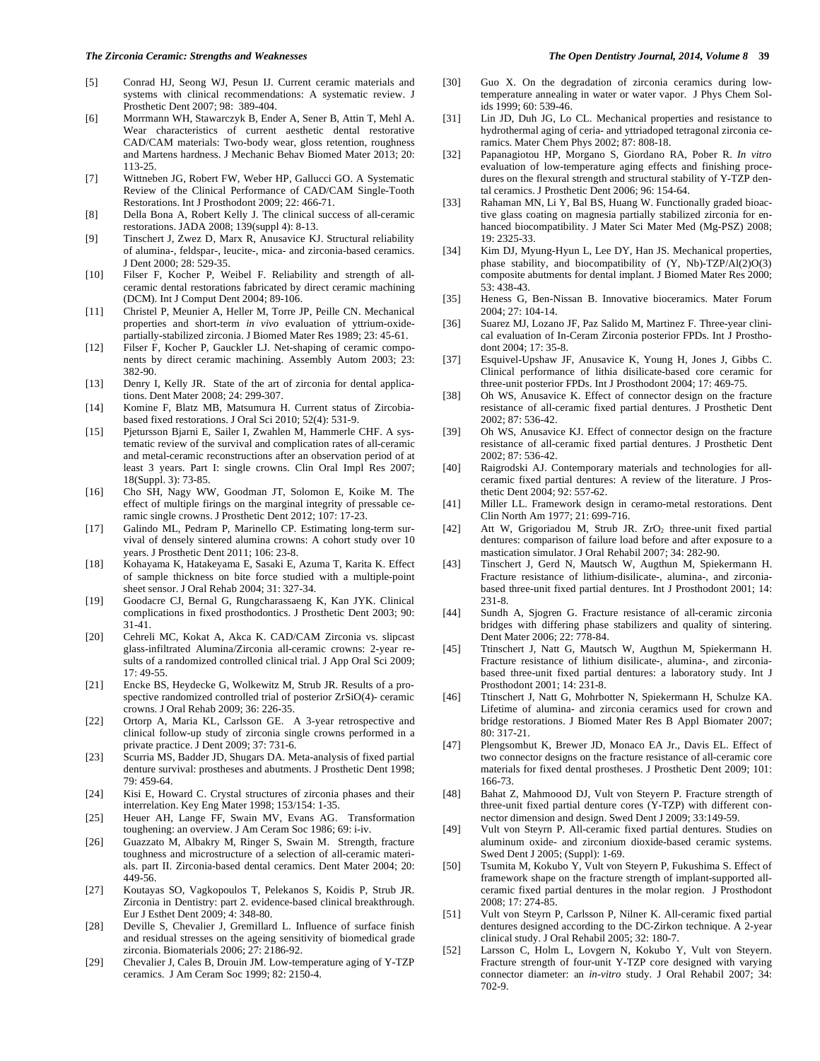#### *The Zirconia Ceramic: Strengths and Weaknesses The Open Dentistry Journal, 2014, Volume 8* **39**

- [5] Conrad HJ, Seong WJ, Pesun IJ. Current ceramic materials and systems with clinical recommendations: A systematic review. J Prosthetic Dent 2007; 98: 389-404.
- [6] Morrmann WH, Stawarczyk B, Ender A, Sener B, Attin T, Mehl A. Wear characteristics of current aesthetic dental restorative CAD/CAM materials: Two-body wear, gloss retention, roughness and Martens hardness. J Mechanic Behav Biomed Mater 2013; 20: 113-25.
- [7] Wittneben JG, Robert FW, Weber HP, Gallucci GO. A Systematic Review of the Clinical Performance of CAD/CAM Single-Tooth Restorations. Int J Prosthodont 2009; 22: 466-71.
- [8] Della Bona A, Robert Kelly J. The clinical success of all-ceramic restorations. JADA 2008; 139(suppl 4): 8-13.
- [9] Tinschert J, Zwez D, Marx R, Anusavice KJ. Structural reliability of alumina-, feldspar-, leucite-, mica- and zirconia-based ceramics. J Dent 2000; 28: 529-35.
- [10] Filser F, Kocher P, Weibel F. Reliability and strength of allceramic dental restorations fabricated by direct ceramic machining (DCM). Int J Comput Dent 2004; 89-106.
- [11] Christel P, Meunier A, Heller M, Torre JP, Peille CN. Mechanical properties and short-term *in vivo* evaluation of yttrium-oxidepartially-stabilized zirconia. J Biomed Mater Res 1989; 23: 45-61.
- [12] Filser F, Kocher P, Gauckler LJ. Net-shaping of ceramic components by direct ceramic machining. Assembly Autom 2003; 23: 382-90.
- [13] Denry I, Kelly JR. State of the art of zirconia for dental applications. Dent Mater 2008; 24: 299-307.
- [14] Komine F, Blatz MB, Matsumura H. Current status of Zircobiabased fixed restorations. J Oral Sci 2010; 52(4): 531-9.
- [15] Pjetursson Bjarni E, Sailer I, Zwahlen M, Hammerle CHF. A systematic review of the survival and complication rates of all-ceramic and metal-ceramic reconstructions after an observation period of at least 3 years. Part I: single crowns. Clin Oral Impl Res 2007; 18(Suppl. 3): 73-85.
- [16] Cho SH, Nagy WW, Goodman JT, Solomon E, Koike M. The effect of multiple firings on the marginal integrity of pressable ceramic single crowns. J Prosthetic Dent 2012; 107: 17-23.
- [17] Galindo ML, Pedram P, Marinello CP. Estimating long-term survival of densely sintered alumina crowns: A cohort study over 10 years. J Prosthetic Dent 2011; 106: 23-8.
- [18] Kohayama K, Hatakeyama E, Sasaki E, Azuma T, Karita K. Effect of sample thickness on bite force studied with a multiple-point sheet sensor. J Oral Rehab 2004; 31: 327-34.
- [19] Goodacre CJ, Bernal G, Rungcharassaeng K, Kan JYK. Clinical complications in fixed prosthodontics. J Prosthetic Dent 2003; 90: 31-41.
- [20] Cehreli MC, Kokat A, Akca K. CAD/CAM Zirconia vs. slipcast glass-infiltrated Alumina/Zirconia all-ceramic crowns: 2-year results of a randomized controlled clinical trial. J App Oral Sci 2009; 17: 49-55.
- [21] Encke BS, Heydecke G, Wolkewitz M, Strub JR. Results of a prospective randomized controlled trial of posterior ZrSiO(4)- ceramic crowns. J Oral Rehab 2009; 36: 226-35.
- [22] Ortorp A, Maria KL, Carlsson GE. A 3-year retrospective and clinical follow-up study of zirconia single crowns performed in a private practice. J Dent 2009; 37: 731-6.
- [23] Scurria MS, Badder JD, Shugars DA. Meta-analysis of fixed partial denture survival: prostheses and abutments. J Prosthetic Dent 1998; 79: 459-64.
- [24] Kisi E, Howard C. Crystal structures of zirconia phases and their interrelation. Key Eng Mater 1998; 153/154: 1-35.
- [25] Heuer AH, Lange FF, Swain MV, Evans AG. Transformation toughening: an overview. J Am Ceram Soc 1986; 69: i-iv.
- [26] Guazzato M, Albakry M, Ringer S, Swain M. Strength, fracture toughness and microstructure of a selection of all-ceramic materials. part II. Zirconia-based dental ceramics. Dent Mater 2004; 20: 449-56.
- [27] Koutayas SO, Vagkopoulos T, Pelekanos S, Koidis P, Strub JR. Zirconia in Dentistry: part 2. evidence-based clinical breakthrough. Eur J Esthet Dent 2009; 4: 348-80.
- [28] Deville S, Chevalier J, Gremillard L. Influence of surface finish and residual stresses on the ageing sensitivity of biomedical grade zirconia. Biomaterials 2006; 27: 2186-92.
- [29] Chevalier J, Cales B, Drouin JM. Low-temperature aging of Y-TZP ceramics. J Am Ceram Soc 1999; 82: 2150-4.
- [30] Guo X. On the degradation of zirconia ceramics during lowtemperature annealing in water or water vapor. J Phys Chem Solids 1999; 60: 539-46.
- [31] Lin JD, Duh JG, Lo CL. Mechanical properties and resistance to hydrothermal aging of ceria- and yttriadoped tetragonal zirconia ceramics. Mater Chem Phys 2002; 87: 808-18.
- [32] Papanagiotou HP, Morgano S, Giordano RA, Pober R. *In vitro* evaluation of low-temperature aging effects and finishing procedures on the flexural strength and structural stability of Y-TZP dental ceramics. J Prosthetic Dent 2006; 96: 154-64.
- [33] Rahaman MN, Li Y, Bal BS, Huang W. Functionally graded bioactive glass coating on magnesia partially stabilized zirconia for enhanced biocompatibility. J Mater Sci Mater Med (Mg-PSZ) 2008; 19: 2325-33.
- [34] Kim DJ, Myung-Hyun L, Lee DY, Han JS. Mechanical properties, phase stability, and biocompatibility of (Y, Nb)-TZP/Al(2)O(3) composite abutments for dental implant. J Biomed Mater Res 2000; 53: 438-43.
- [35] Heness G, Ben-Nissan B. Innovative bioceramics. Mater Forum 2004; 27: 104-14.
- [36] Suarez MJ, Lozano JF, Paz Salido M, Martinez F. Three-year clinical evaluation of In-Ceram Zirconia posterior FPDs. Int J Prosthodont 2004; 17: 35-8.
- [37] Esquivel-Upshaw JF, Anusavice K, Young H, Jones J, Gibbs C. Clinical performance of lithia disilicate-based core ceramic for three-unit posterior FPDs. Int J Prosthodont 2004; 17: 469-75.
- [38] Oh WS, Anusavice K. Effect of connector design on the fracture resistance of all-ceramic fixed partial dentures. J Prosthetic Dent 2002; 87: 536-42.
- [39] Oh WS, Anusavice KJ. Effect of connector design on the fracture resistance of all-ceramic fixed partial dentures. J Prosthetic Dent 2002; 87: 536-42.
- [40] Raigrodski AJ. Contemporary materials and technologies for allceramic fixed partial dentures: A review of the literature. J Prosthetic Dent 2004; 92: 557-62.
- [41] Miller LL. Framework design in ceramo-metal restorations. Dent Clin North Am 1977; 21: 699-716.
- [42] Att W, Grigoriadou M, Strub JR. ZrO<sub>2</sub> three-unit fixed partial dentures: comparison of failure load before and after exposure to a mastication simulator. J Oral Rehabil 2007; 34: 282-90.
- [43] Tinschert J, Gerd N, Mautsch W, Augthun M, Spiekermann H. Fracture resistance of lithium-disilicate-, alumina-, and zirconiabased three-unit fixed partial dentures. Int J Prosthodont 2001; 14: 231-8.
- [44] Sundh A, Sjogren G. Fracture resistance of all-ceramic zirconia bridges with differing phase stabilizers and quality of sintering. Dent Mater 2006; 22: 778-84.
- [45] Ttinschert J, Natt G, Mautsch W, Augthun M, Spiekermann H. Fracture resistance of lithium disilicate-, alumina-, and zirconiabased three-unit fixed partial dentures: a laboratory study. Int J Prosthodont 2001; 14: 231-8.
- [46] Ttinschert J, Natt G, Mohrbotter N, Spiekermann H, Schulze KA. Lifetime of alumina- and zirconia ceramics used for crown and bridge restorations. J Biomed Mater Res B Appl Biomater 2007; 80: 317-21.
- [47] Plengsombut K, Brewer JD, Monaco EA Jr., Davis EL. Effect of two connector designs on the fracture resistance of all-ceramic core materials for fixed dental prostheses. J Prosthetic Dent 2009; 101: 166-73.
- [48] Bahat Z, Mahmoood DJ, Vult von Steyern P. Fracture strength of three-unit fixed partial denture cores (Y-TZP) with different connector dimension and design. Swed Dent J 2009; 33:149-59.
- [49] Vult von Steyrn P. All-ceramic fixed partial dentures. Studies on aluminum oxide- and zirconium dioxide-based ceramic systems. Swed Dent J 2005; (Suppl): 1-69.
- [50] Tsumita M, Kokubo Y, Vult von Steyern P, Fukushima S. Effect of framework shape on the fracture strength of implant-supported allceramic fixed partial dentures in the molar region. J Prosthodont 2008; 17: 274-85.
- [51] Vult von Steyrn P, Carlsson P, Nilner K. All-ceramic fixed partial dentures designed according to the DC-Zirkon technique. A 2-year clinical study. J Oral Rehabil 2005; 32: 180-7.
- [52] Larsson C, Holm L, Lovgern N, Kokubo Y, Vult von Steyern. Fracture strength of four-unit Y-TZP core designed with varying connector diameter: an *in-vitro* study. J Oral Rehabil 2007; 34: 702-9.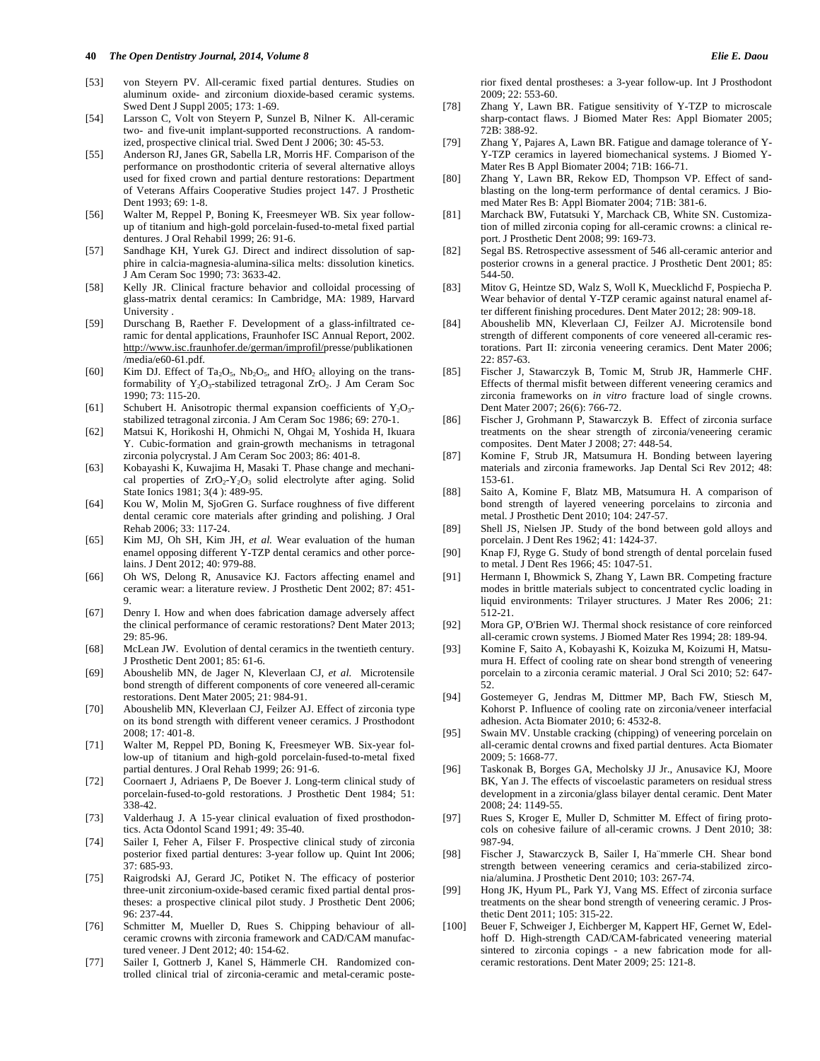- [53] von Steyern PV. All-ceramic fixed partial dentures. Studies on aluminum oxide- and zirconium dioxide-based ceramic systems. Swed Dent J Suppl 2005; 173: 1-69.
- [54] Larsson C, Volt von Steyern P, Sunzel B, Nilner K. All-ceramic two- and five-unit implant-supported reconstructions. A randomized, prospective clinical trial. Swed Dent J 2006; 30: 45-53.
- [55] Anderson RJ, Janes GR, Sabella LR, Morris HF. Comparison of the performance on prosthodontic criteria of several alternative alloys used for fixed crown and partial denture restorations: Department of Veterans Affairs Cooperative Studies project 147. J Prosthetic Dent 1993; 69: 1-8.
- [56] Walter M, Reppel P, Boning K, Freesmeyer WB. Six year followup of titanium and high-gold porcelain-fused-to-metal fixed partial dentures. J Oral Rehabil 1999; 26: 91-6.
- [57] Sandhage KH, Yurek GJ. Direct and indirect dissolution of sapphire in calcia-magnesia-alumina-silica melts: dissolution kinetics. J Am Ceram Soc 1990; 73: 3633-42.
- [58] Kelly JR. Clinical fracture behavior and colloidal processing of glass-matrix dental ceramics: In Cambridge, MA: 1989, Harvard University .
- [59] Durschang B, Raether F. Development of a glass-infiltrated ceramic for dental applications, Fraunhofer ISC Annual Report, 2002. http://www.isc.fraunhofer.de/german/improfil/presse/publikationen /media/e60-61.pdf.
- [60] Kim DJ. Effect of Ta<sub>2</sub>O<sub>5</sub>, Nb<sub>2</sub>O<sub>5</sub>, and HfO<sub>2</sub> alloying on the transformability of Y<sub>2</sub>O<sub>3</sub>-stabilized tetragonal ZrO<sub>2</sub>. J Am Ceram Soc 1990; 73: 115-20.
- [61] Schubert H. Anisotropic thermal expansion coefficients of  $Y_2O_3$ stabilized tetragonal zirconia. J Am Ceram Soc 1986; 69: 270-1.
- [62] Matsui K, Horikoshi H, Ohmichi N, Ohgai M, Yoshida H, Ikuara Y. Cubic-formation and grain-growth mechanisms in tetragonal zirconia polycrystal. J Am Ceram Soc 2003; 86: 401-8.
- [63] Kobayashi K, Kuwajima H, Masaki T. Phase change and mechanical properties of ZrO<sub>2</sub>-Y<sub>2</sub>O<sub>3</sub> solid electrolyte after aging. Solid State Ionics 1981; 3(4 ): 489-95.
- [64] Kou W, Molin M, SjoGren G. Surface roughness of five different dental ceramic core materials after grinding and polishing. J Oral Rehab 2006; 33: 117-24.
- [65] Kim MJ, Oh SH, Kim JH, *et al.* Wear evaluation of the human enamel opposing different Y-TZP dental ceramics and other porcelains. J Dent 2012; 40: 979-88.
- [66] Oh WS, Delong R, Anusavice KJ. Factors affecting enamel and ceramic wear: a literature review. J Prosthetic Dent 2002; 87: 451- 9.
- [67] Denry I. How and when does fabrication damage adversely affect the clinical performance of ceramic restorations? Dent Mater 2013; 29: 85-96.
- [68] McLean JW. Evolution of dental ceramics in the twentieth century. J Prosthetic Dent 2001; 85: 61-6.
- [69] Aboushelib MN, de Jager N, Kleverlaan CJ, *et al.* Microtensile bond strength of different components of core veneered all-ceramic restorations. Dent Mater 2005; 21: 984-91.
- [70] Aboushelib MN, Kleverlaan CJ, Feilzer AJ. Effect of zirconia type on its bond strength with different veneer ceramics. J Prosthodont 2008; 17: 401-8.
- [71] Walter M, Reppel PD, Boning K, Freesmeyer WB. Six-year follow-up of titanium and high-gold porcelain-fused-to-metal fixed partial dentures. J Oral Rehab 1999; 26: 91-6.
- [72] Coornaert J, Adriaens P, De Boever J. Long-term clinical study of porcelain-fused-to-gold restorations. J Prosthetic Dent 1984; 51: 338-42.
- [73] Valderhaug J. A 15-year clinical evaluation of fixed prosthodontics. Acta Odontol Scand 1991; 49: 35-40.
- [74] Sailer I, Feher A, Filser F. Prospective clinical study of zirconia posterior fixed partial dentures: 3-year follow up. Quint Int 2006; 37: 685-93.
- [75] Raigrodski AJ, Gerard JC, Potiket N. The efficacy of posterior three-unit zirconium-oxide-based ceramic fixed partial dental prostheses: a prospective clinical pilot study. J Prosthetic Dent 2006; 96: 237-44.
- [76] Schmitter M, Mueller D, Rues S. Chipping behaviour of allceramic crowns with zirconia framework and CAD/CAM manufactured veneer. J Dent 2012; 40: 154-62.
- [77] Sailer I, Gottnerb J, Kanel S, Hämmerle CH. Randomized controlled clinical trial of zirconia-ceramic and metal-ceramic poste-

rior fixed dental prostheses: a 3-year follow-up. Int J Prosthodont 2009; 22: 553-60.

- [78] Zhang Y, Lawn BR. Fatigue sensitivity of Y-TZP to microscale sharp-contact flaws. J Biomed Mater Res: Appl Biomater 2005; 72B: 388-92.
- [79] Zhang Y, Pajares A, Lawn BR. Fatigue and damage tolerance of Y-Y-TZP ceramics in layered biomechanical systems. J Biomed Y-Mater Res B Appl Biomater 2004; 71B: 166-71.
- [80] Zhang Y, Lawn BR, Rekow ED, Thompson VP. Effect of sandblasting on the long-term performance of dental ceramics. J Biomed Mater Res B: Appl Biomater 2004; 71B: 381-6.
- [81] Marchack BW, Futatsuki Y, Marchack CB, White SN. Customization of milled zirconia coping for all-ceramic crowns: a clinical report. J Prosthetic Dent 2008; 99: 169-73.
- [82] Segal BS. Retrospective assessment of 546 all-ceramic anterior and posterior crowns in a general practice. J Prosthetic Dent 2001; 85: 544-50.
- [83] Mitov G, Heintze SD, Walz S, Woll K, Muecklichd F, Pospiecha P. Wear behavior of dental Y-TZP ceramic against natural enamel after different finishing procedures. Dent Mater 2012; 28: 909-18.
- [84] Aboushelib MN, Kleverlaan CJ, Feilzer AJ. Microtensile bond strength of different components of core veneered all-ceramic restorations. Part II: zirconia veneering ceramics. Dent Mater 2006; 22: 857-63.
- [85] Fischer J, Stawarczyk B, Tomic M, Strub JR, Hammerle CHF. Effects of thermal misfit between different veneering ceramics and zirconia frameworks on *in vitro* fracture load of single crowns. Dent Mater 2007; 26(6): 766-72.
- [86] Fischer J, Grohmann P, Stawarczyk B. Effect of zirconia surface treatments on the shear strength of zirconia/veneering ceramic composites. Dent Mater J 2008; 27: 448-54.
- [87] Komine F, Strub JR, Matsumura H. Bonding between layering materials and zirconia frameworks. Jap Dental Sci Rev 2012; 48: 153-61.
- [88] Saito A, Komine F, Blatz MB, Matsumura H. A comparison of bond strength of layered veneering porcelains to zirconia and metal. J Prosthetic Dent 2010; 104: 247-57.
- [89] Shell JS, Nielsen JP. Study of the bond between gold alloys and porcelain. J Dent Res 1962; 41: 1424-37.
- [90] Knap FJ, Ryge G. Study of bond strength of dental porcelain fused to metal. J Dent Res 1966; 45: 1047-51.
- [91] Hermann I, Bhowmick S, Zhang Y, Lawn BR. Competing fracture modes in brittle materials subject to concentrated cyclic loading in liquid environments: Trilayer structures. J Mater Res 2006; 21: 512-21.
- [92] Mora GP, O'Brien WJ. Thermal shock resistance of core reinforced all-ceramic crown systems. J Biomed Mater Res 1994; 28: 189-94.
- [93] Komine F, Saito A, Kobayashi K, Koizuka M, Koizumi H, Matsumura H. Effect of cooling rate on shear bond strength of veneering porcelain to a zirconia ceramic material. J Oral Sci 2010; 52: 647- 52.
- [94] Gostemeyer G, Jendras M, Dittmer MP, Bach FW, Stiesch M, Kohorst P. Influence of cooling rate on zirconia/veneer interfacial adhesion. Acta Biomater 2010; 6: 4532-8.
- [95] Swain MV. Unstable cracking (chipping) of veneering porcelain on all-ceramic dental crowns and fixed partial dentures. Acta Biomater 2009; 5: 1668-77.
- [96] Taskonak B, Borges GA, Mecholsky JJ Jr., Anusavice KJ, Moore BK, Yan J. The effects of viscoelastic parameters on residual stress development in a zirconia/glass bilayer dental ceramic. Dent Mater 2008; 24: 1149-55.
- [97] Rues S, Kroger E, Muller D, Schmitter M. Effect of firing protocols on cohesive failure of all-ceramic crowns. J Dent 2010; 38: 987-94.
- [98] Fischer J, Stawarczyck B, Sailer I, Ha¨mmerle CH. Shear bond strength between veneering ceramics and ceria-stabilized zirconia/alumina. J Prosthetic Dent 2010; 103: 267-74.
- [99] Hong JK, Hyum PL, Park YJ, Vang MS. Effect of zirconia surface treatments on the shear bond strength of veneering ceramic. J Prosthetic Dent 2011; 105: 315-22.
- [100] Beuer F, Schweiger J, Eichberger M, Kappert HF, Gernet W, Edelhoff D. High-strength CAD/CAM-fabricated veneering material sintered to zirconia copings - a new fabrication mode for allceramic restorations. Dent Mater 2009; 25: 121-8.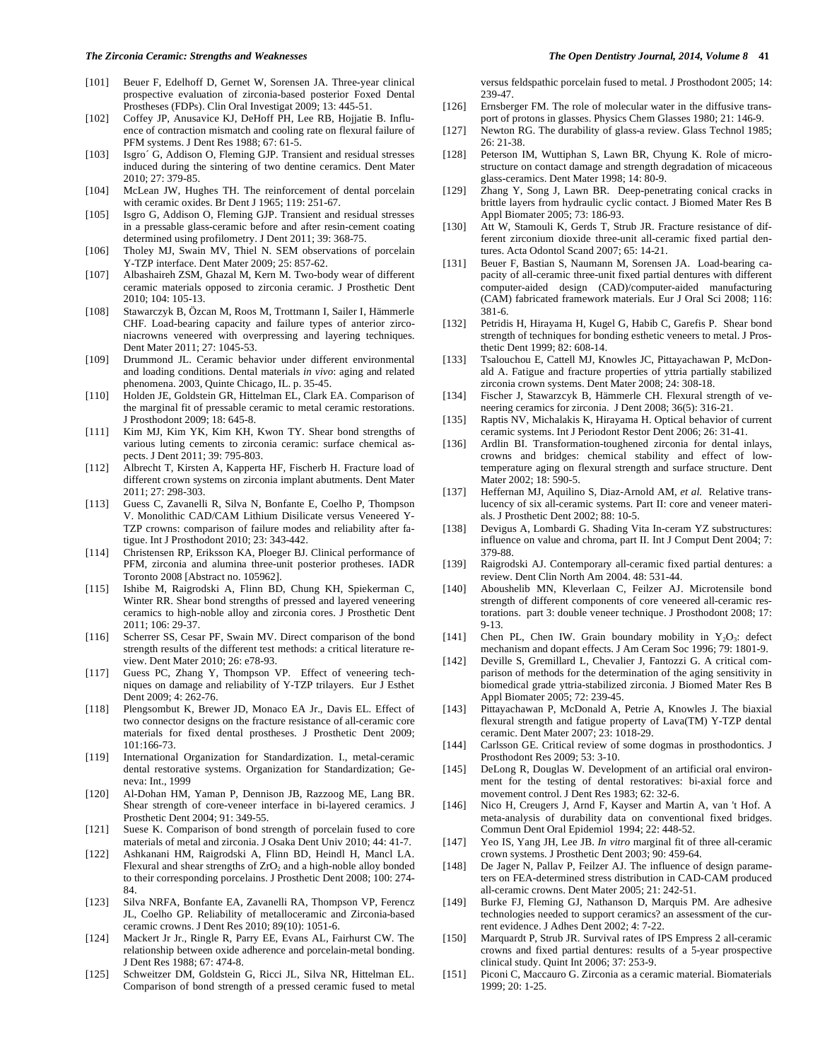#### *The Zirconia Ceramic: Strengths and Weaknesses The Open Dentistry Journal, 2014, Volume 8* **41**

- [101] Beuer F, Edelhoff D, Gernet W, Sorensen JA. Three-year clinical prospective evaluation of zirconia-based posterior Foxed Dental Prostheses (FDPs). Clin Oral Investigat 2009; 13: 445-51.
- [102] Coffey JP, Anusavice KJ, DeHoff PH, Lee RB, Hojjatie B. Influence of contraction mismatch and cooling rate on flexural failure of PFM systems. J Dent Res 1988; 67: 61-5.
- [103] Isgro' G, Addison O, Fleming GJP. Transient and residual stresses induced during the sintering of two dentine ceramics. Dent Mater 2010; 27: 379-85.
- [104] McLean JW, Hughes TH. The reinforcement of dental porcelain with ceramic oxides. Br Dent J 1965; 119: 251-67.
- [105] Isgro G, Addison O, Fleming GJP. Transient and residual stresses in a pressable glass-ceramic before and after resin-cement coating determined using profilometry. J Dent 2011; 39: 368-75.
- [106] Tholey MJ, Swain MV, Thiel N. SEM observations of porcelain Y-TZP interface. Dent Mater 2009; 25: 857-62.
- [107] Albashaireh ZSM, Ghazal M, Kern M. Two-body wear of different ceramic materials opposed to zirconia ceramic. J Prosthetic Dent 2010; 104: 105-13.
- [108] Stawarczyk B, Özcan M, Roos M, Trottmann I, Sailer I, Hämmerle CHF. Load-bearing capacity and failure types of anterior zirconiacrowns veneered with overpressing and layering techniques. Dent Mater 2011; 27: 1045-53.
- [109] Drummond JL. Ceramic behavior under different environmental and loading conditions. Dental materials *in vivo*: aging and related phenomena. 2003, Quinte Chicago, IL. p. 35-45.
- [110] Holden JE, Goldstein GR, Hittelman EL, Clark EA. Comparison of the marginal fit of pressable ceramic to metal ceramic restorations. J Prosthodont 2009; 18: 645-8.
- [111] Kim MJ, Kim YK, Kim KH, Kwon TY. Shear bond strengths of various luting cements to zirconia ceramic: surface chemical aspects. J Dent 2011; 39: 795-803.
- [112] Albrecht T, Kirsten A, Kapperta HF, Fischerb H. Fracture load of different crown systems on zirconia implant abutments. Dent Mater 2011; 27: 298-303.
- [113] Guess C, Zavanelli R, Silva N, Bonfante E, Coelho P, Thompson V. Monolithic CAD/CAM Lithium Disilicate versus Veneered Y-TZP crowns: comparison of failure modes and reliability after fatigue. Int J Prosthodont 2010; 23: 343-442.
- [114] Christensen RP, Eriksson KA, Ploeger BJ. Clinical performance of PFM, zirconia and alumina three-unit posterior protheses. IADR Toronto 2008 [Abstract no. 105962].
- [115] Ishibe M, Raigrodski A, Flinn BD, Chung KH, Spiekerman C, Winter RR. Shear bond strengths of pressed and layered veneering ceramics to high-noble alloy and zirconia cores. J Prosthetic Dent 2011; 106: 29-37.
- [116] Scherrer SS, Cesar PF, Swain MV. Direct comparison of the bond strength results of the different test methods: a critical literature review. Dent Mater 2010; 26: e78-93.
- [117] Guess PC, Zhang Y, Thompson VP. Effect of veneering techniques on damage and reliability of Y-TZP trilayers. Eur J Esthet Dent 2009; 4: 262-76.
- [118] Plengsombut K, Brewer JD, Monaco EA Jr., Davis EL. Effect of two connector designs on the fracture resistance of all-ceramic core materials for fixed dental prostheses. J Prosthetic Dent 2009; 101:166-73.
- [119] International Organization for Standardization. I., metal-ceramic dental restorative systems. Organization for Standardization; Geneva: Int., 1999
- [120] Al-Dohan HM, Yaman P, Dennison JB, Razzoog ME, Lang BR. Shear strength of core-veneer interface in bi-layered ceramics. J Prosthetic Dent 2004; 91: 349-55.
- [121] Suese K. Comparison of bond strength of porcelain fused to core materials of metal and zirconia. J Osaka Dent Univ 2010; 44: 41-7.
- [122] Ashkanani HM, Raigrodski A, Flinn BD, Heindl H, Mancl LA. Flexural and shear strengths of  $ZrO<sub>2</sub>$  and a high-noble alloy bonded to their corresponding porcelains. J Prosthetic Dent 2008; 100: 274- 84.
- [123] Silva NRFA, Bonfante EA, Zavanelli RA, Thompson VP, Ferencz JL, Coelho GP. Reliability of metalloceramic and Zirconia-based ceramic crowns. J Dent Res 2010; 89(10): 1051-6.
- [124] Mackert Jr Jr., Ringle R, Parry EE, Evans AL, Fairhurst CW. The relationship between oxide adherence and porcelain-metal bonding. J Dent Res 1988; 67: 474-8.
- [125] Schweitzer DM, Goldstein G, Ricci JL, Silva NR, Hittelman EL. Comparison of bond strength of a pressed ceramic fused to metal

versus feldspathic porcelain fused to metal. J Prosthodont 2005; 14: 239-47.

- [126] Ernsberger FM. The role of molecular water in the diffusive transport of protons in glasses. Physics Chem Glasses 1980; 21: 146-9.
- [127] Newton RG. The durability of glass-a review. Glass Technol 1985; 26: 21-38.
- [128] Peterson IM, Wuttiphan S, Lawn BR, Chyung K. Role of microstructure on contact damage and strength degradation of micaceous glass-ceramics. Dent Mater 1998; 14: 80-9.
- [129] Zhang Y, Song J, Lawn BR. Deep-penetrating conical cracks in brittle layers from hydraulic cyclic contact. J Biomed Mater Res B Appl Biomater 2005; 73: 186-93.
- [130] Att W, Stamouli K, Gerds T, Strub JR. Fracture resistance of different zirconium dioxide three-unit all-ceramic fixed partial dentures. Acta Odontol Scand 2007; 65: 14-21.
- [131] Beuer F, Bastian S, Naumann M, Sorensen JA. Load-bearing capacity of all-ceramic three-unit fixed partial dentures with different computer-aided design (CAD)/computer-aided manufacturing (CAM) fabricated framework materials. Eur J Oral Sci 2008; 116: 381-6.
- [132] Petridis H, Hirayama H, Kugel G, Habib C, Garefis P. Shear bond strength of techniques for bonding esthetic veneers to metal. J Prosthetic Dent 1999; 82: 608-14.
- [133] Tsalouchou E, Cattell MJ, Knowles JC, Pittayachawan P, McDonald A. Fatigue and fracture properties of yttria partially stabilized zirconia crown systems. Dent Mater 2008; 24: 308-18.
- [134] Fischer J, Stawarzcyk B, Hämmerle CH. Flexural strength of veneering ceramics for zirconia. J Dent 2008; 36(5): 316-21.
- [135] Raptis NV, Michalakis K, Hirayama H. Optical behavior of current ceramic systems. Int J Periodont Restor Dent 2006; 26: 31-41.
- [136] Ardlin BI. Transformation-toughened zirconia for dental inlays, crowns and bridges: chemical stability and effect of lowtemperature aging on flexural strength and surface structure. Dent Mater 2002; 18: 590-5.
- [137] Heffernan MJ, Aquilino S, Diaz-Arnold AM, *et al.* Relative translucency of six all-ceramic systems. Part II: core and veneer materials. J Prosthetic Dent 2002; 88: 10-5.
- [138] Devigus A, Lombardi G. Shading Vita In-ceram YZ substructures: influence on value and chroma, part II. Int J Comput Dent 2004; 7: 379-88.
- [139] Raigrodski AJ. Contemporary all-ceramic fixed partial dentures: a review. Dent Clin North Am 2004. 48: 531-44.
- [140] Aboushelib MN, Kleverlaan C, Feilzer AJ. Microtensile bond strength of different components of core veneered all-ceramic restorations. part 3: double veneer technique. J Prosthodont 2008; 17: 9-13.
- [141] Chen PL, Chen IW. Grain boundary mobility in  $Y_2O_3$ : defect mechanism and dopant effects. J Am Ceram Soc 1996; 79: 1801-9.
- [142] Deville S, Gremillard L, Chevalier J, Fantozzi G. A critical comparison of methods for the determination of the aging sensitivity in biomedical grade yttria-stabilized zirconia. J Biomed Mater Res B Appl Biomater 2005; 72: 239-45.
- [143] Pittayachawan P, McDonald A, Petrie A, Knowles J. The biaxial flexural strength and fatigue property of Lava(TM) Y-TZP dental ceramic. Dent Mater 2007; 23: 1018-29.
- [144] Carlsson GE. Critical review of some dogmas in prosthodontics. J Prosthodont Res 2009; 53: 3-10.
- [145] DeLong R, Douglas W. Development of an artificial oral environment for the testing of dental restoratives: bi-axial force and movement control. J Dent Res 1983; 62: 32-6.
- [146] Nico H, Creugers J, Arnd F, Kayser and Martin A, van 't Hof. A meta-analysis of durability data on conventional fixed bridges. Commun Dent Oral Epidemiol 1994; 22: 448-52.
- [147] Yeo IS, Yang JH, Lee JB. *In vitro* marginal fit of three all-ceramic crown systems. J Prosthetic Dent 2003; 90: 459-64.
- [148] De Jager N, Pallav P, Feilzer AJ. The influence of design parameters on FEA-determined stress distribution in CAD-CAM produced all-ceramic crowns. Dent Mater 2005; 21: 242-51.
- [149] Burke FJ, Fleming GJ, Nathanson D, Marquis PM. Are adhesive technologies needed to support ceramics? an assessment of the current evidence. J Adhes Dent 2002; 4: 7-22.
- [150] Marquardt P, Strub JR. Survival rates of IPS Empress 2 all-ceramic crowns and fixed partial dentures: results of a 5-year prospective clinical study. Quint Int 2006; 37: 253-9.
- [151] Piconi C, Maccauro G. Zirconia as a ceramic material. Biomaterials 1999; 20: 1-25.